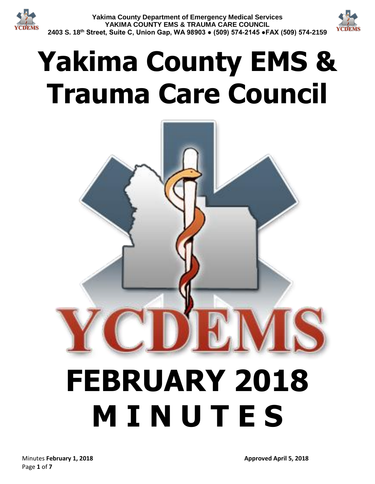



# **Yakima County EMS & Trauma Care Council**

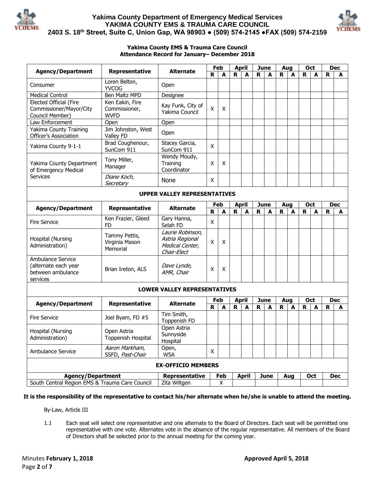



#### **Yakima County EMS & Trauma Care Council Attendance Record for January– December 2018**

| <b>Agency/Department</b>                                                   | Representative                              | <b>Alternate</b>                                                      | Feb               |                  |              | <b>April</b> |             | <b>June</b>        |             | Aug |             | <b>Oct</b> |             | <b>Dec</b> |  |
|----------------------------------------------------------------------------|---------------------------------------------|-----------------------------------------------------------------------|-------------------|------------------|--------------|--------------|-------------|--------------------|-------------|-----|-------------|------------|-------------|------------|--|
|                                                                            |                                             |                                                                       | R                 | A                | R            | A            | R           | A                  | $\mathbf R$ | A   | R           | A          | R           | A          |  |
| Consumer                                                                   | Loren Belton,<br><b>YVCOG</b>               | Open                                                                  |                   |                  |              |              |             |                    |             |     |             |            |             |            |  |
| <b>Medical Control</b>                                                     | Ben Maltz MPD                               | Designee                                                              |                   |                  |              |              |             |                    |             |     |             |            |             |            |  |
| Elected Official (Fire<br>Commissioner/Mayor/City                          | Ken Eakin, Fire<br>Commissioner,            | Kay Funk, City of                                                     | $\mathsf{X}$<br>X |                  |              |              |             |                    |             |     |             |            |             |            |  |
| Council Member)                                                            | <b>WVFD</b>                                 | Yakima Council                                                        |                   |                  |              |              |             |                    |             |     |             |            |             |            |  |
| Law Enforcement                                                            | Open                                        | Open                                                                  |                   |                  |              |              |             |                    |             |     |             |            |             |            |  |
| Yakima County Training<br>Officer's Association                            | Jim Johnston, West<br>Valley FD             | Open                                                                  |                   |                  |              |              |             |                    |             |     |             |            |             |            |  |
| Yakima County 9-1-1                                                        | Brad Coughenour,<br>SunCom 911              | Stacey Garcia,<br>SunCom 911                                          | X                 |                  |              |              |             |                    |             |     |             |            |             |            |  |
| Yakima County Department<br>of Emergency Medical<br>Services               | Tony Miller,<br>Manager                     | Wendy Moudy,<br>Training<br>Coordinator                               | X                 | X                |              |              |             |                    |             |     |             |            |             |            |  |
|                                                                            | Diane Koch,<br>Secretary                    | None                                                                  | X                 |                  |              |              |             |                    |             |     |             |            |             |            |  |
| <b>UPPER VALLEY REPRESENTATIVES</b>                                        |                                             |                                                                       |                   |                  |              |              |             |                    |             |     |             |            |             |            |  |
| <b>Agency/Department</b>                                                   | Representative                              | <b>Alternate</b>                                                      | Feb               |                  | <b>April</b> |              |             | <b>June</b>        |             | Aug |             | Oct        |             | <b>Dec</b> |  |
|                                                                            |                                             |                                                                       | R                 | $\blacktriangle$ | $\mathbf R$  | A            | R           | A                  | $\mathbf R$ | A   | $\mathbf R$ | A          | $\mathbf R$ | A          |  |
| <b>Fire Service</b>                                                        | Ken Frazier, Gleed<br><b>FD</b>             | Gary Hanna,<br>Selah FD                                               | X                 |                  |              |              |             |                    |             |     |             |            |             |            |  |
| Hospital (Nursing<br>Administration)                                       | Tammy Pettis,<br>Virginia Mason<br>Memorial | Laurie Robinson,<br>Astria Regional<br>Medical Center,<br>Chair-Elect | X                 | X                |              |              |             |                    |             |     |             |            |             |            |  |
| Ambulance Service<br>(alternate each year<br>between ambulance<br>services | Brian Ireton, ALS                           | Dave Lynde,<br>AMR, Chair                                             | X                 | X                |              |              |             |                    |             |     |             |            |             |            |  |
| <b>LOWER VALLEY REPRESENTATIVES</b>                                        |                                             |                                                                       |                   |                  |              |              |             |                    |             |     |             |            |             |            |  |
| <b>Agency/Department</b>                                                   | Representative                              | <b>Alternate</b>                                                      | Feb               |                  | <b>April</b> |              | <b>June</b> |                    | Aug         |     | Oct         |            | <b>Dec</b>  |            |  |
|                                                                            |                                             |                                                                       | R                 | A                | R            | A            | R           | A                  | R           | A   | R           | A          | R           | A          |  |
| <b>Fire Service</b>                                                        | Joel Byam, FD #5                            | Tim Smith,<br>Toppenish FD                                            |                   |                  |              |              |             |                    |             |     |             |            |             |            |  |
| Hospital (Nursing                                                          | Open Astria                                 | Open Astria<br>Sunnyside                                              |                   |                  |              |              |             |                    |             |     |             |            |             |            |  |
| Administration)                                                            | Toppenish Hospital                          | Hospital                                                              |                   |                  |              |              |             |                    |             |     |             |            |             |            |  |
| Ambulance Service                                                          | Aaron Markham,<br>SSFD, Past-Chair          | Open,<br><b>WSA</b>                                                   | X                 |                  |              |              |             |                    |             |     |             |            |             |            |  |
|                                                                            |                                             | <b>EX-OFFICIO MEMBERS</b>                                             |                   |                  |              |              |             |                    |             |     |             |            |             |            |  |
| <b>Agency/Department</b>                                                   |                                             | Representative                                                        | Feb               |                  |              | <b>April</b> |             | <b>June</b><br>Aug |             |     | Oct         |            |             | <b>Dec</b> |  |
| South Central Region EMS & Trauma Care Council                             |                                             | Zita Wiltgen                                                          | X                 |                  |              |              |             |                    |             |     |             |            |             |            |  |

**It is the responsibility of the representative to contact his/her alternate when he/she is unable to attend the meeting.**

By-Law, Article III

1.1 Each seat will select one representative and one alternate to the Board of Directors. Each seat will be permitted one representative with one vote. Alternates vote in the absence of the regular representative. All members of the Board of Directors shall be selected prior to the annual meeting for the coming year.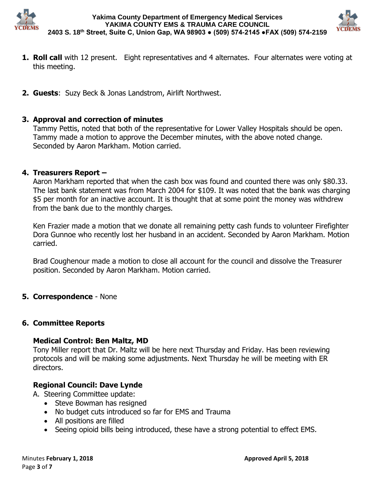



- **1. Roll call** with 12 present. Eight representatives and 4 alternates. Four alternates were voting at this meeting.
- **2. Guests**: Suzy Beck & Jonas Landstrom, Airlift Northwest.

# **3. Approval and correction of minutes**

Tammy Pettis, noted that both of the representative for Lower Valley Hospitals should be open. Tammy made a motion to approve the December minutes, with the above noted change. Seconded by Aaron Markham. Motion carried.

# **4. Treasurers Report –**

Aaron Markham reported that when the cash box was found and counted there was only \$80.33. The last bank statement was from March 2004 for \$109. It was noted that the bank was charging \$5 per month for an inactive account. It is thought that at some point the money was withdrew from the bank due to the monthly charges.

Ken Frazier made a motion that we donate all remaining petty cash funds to volunteer Firefighter Dora Gunnoe who recently lost her husband in an accident. Seconded by Aaron Markham. Motion carried.

Brad Coughenour made a motion to close all account for the council and dissolve the Treasurer position. Seconded by Aaron Markham. Motion carried.

# **5. Correspondence** - None

# **6. Committee Reports**

# **Medical Control: Ben Maltz, MD**

Tony Miller report that Dr. Maltz will be here next Thursday and Friday. Has been reviewing protocols and will be making some adjustments. Next Thursday he will be meeting with ER directors.

# **Regional Council: Dave Lynde**

A. Steering Committee update:

- Steve Bowman has resigned
- No budget cuts introduced so far for EMS and Trauma
- All positions are filled
- Seeing opioid bills being introduced, these have a strong potential to effect EMS.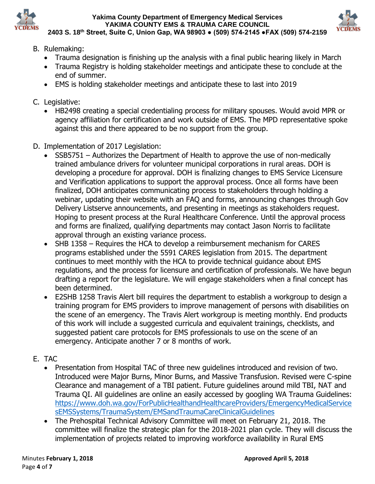



- B. Rulemaking:
	- Trauma designation is finishing up the analysis with a final public hearing likely in March
	- Trauma Registry is holding stakeholder meetings and anticipate these to conclude at the end of summer.
	- EMS is holding stakeholder meetings and anticipate these to last into 2019
- C. Legislative:
	- HB2498 creating a special credentialing process for military spouses. Would avoid MPR or agency affiliation for certification and work outside of EMS. The MPD representative spoke against this and there appeared to be no support from the group.
- D. Implementation of 2017 Legislation:
	- SSB5751 Authorizes the Department of Health to approve the use of non-medically trained ambulance drivers for volunteer municipal corporations in rural areas. DOH is developing a procedure for approval. DOH is finalizing changes to EMS Service Licensure and Verification applications to support the approval process. Once all forms have been finalized, DOH anticipates communicating process to stakeholders through holding a webinar, updating their website with an FAQ and forms, announcing changes through Gov Delivery Listserve announcements, and presenting in meetings as stakeholders request. Hoping to present process at the Rural Healthcare Conference. Until the approval process and forms are finalized, qualifying departments may contact Jason Norris to facilitate approval through an existing variance process.
	- SHB 1358 Requires the HCA to develop a reimbursement mechanism for CARES programs established under the 5591 CARES legislation from 2015. The department continues to meet monthly with the HCA to provide technical guidance about EMS regulations, and the process for licensure and certification of professionals. We have begun drafting a report for the legislature. We will engage stakeholders when a final concept has been determined.
	- E2SHB 1258 Travis Alert bill requires the department to establish a workgroup to design a training program for EMS providers to improve management of persons with disabilities on the scene of an emergency. The Travis Alert workgroup is meeting monthly. End products of this work will include a suggested curricula and equivalent trainings, checklists, and suggested patient care protocols for EMS professionals to use on the scene of an emergency. Anticipate another 7 or 8 months of work.
- E. TAC
	- Presentation from Hospital TAC of three new guidelines introduced and revision of two. Introduced were Major Burns, Minor Burns, and Massive Transfusion. Revised were C-spine Clearance and management of a TBI patient. Future guidelines around mild TBI, NAT and Trauma QI. All guidelines are online an easily accessed by googling WA Trauma Guidelines: [https://www.doh.wa.gov/ForPublicHealthandHealthcareProviders/EmergencyMedicalService](https://www.doh.wa.gov/ForPublicHealthandHealthcareProviders/EmergencyMedicalServicesEMSSystems/TraumaSystem/EMSandTraumaCareClinicalGuidelines) [sEMSSystems/TraumaSystem/EMSandTraumaCareClinicalGuidelines](https://www.doh.wa.gov/ForPublicHealthandHealthcareProviders/EmergencyMedicalServicesEMSSystems/TraumaSystem/EMSandTraumaCareClinicalGuidelines)
	- The Prehospital Technical Advisory Committee will meet on February 21, 2018. The committee will finalize the strategic plan for the 2018-2021 plan cycle. They will discuss the implementation of projects related to improving workforce availability in Rural EMS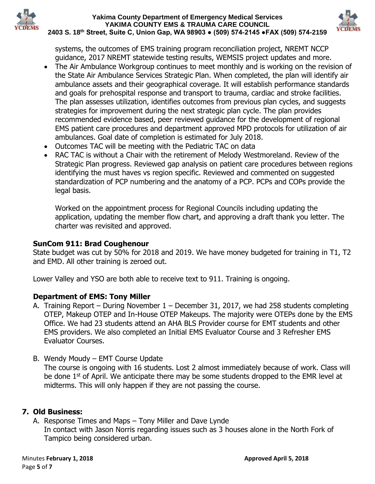



systems, the outcomes of EMS training program reconciliation project, NREMT NCCP guidance, 2017 NREMT statewide testing results, WEMSIS project updates and more.

- The Air Ambulance Workgroup continues to meet monthly and is working on the revision of the State Air Ambulance Services Strategic Plan. When completed, the plan will identify air ambulance assets and their geographical coverage. It will establish performance standards and goals for prehospital response and transport to trauma, cardiac and stroke facilities. The plan assesses utilization, identifies outcomes from previous plan cycles, and suggests strategies for improvement during the next strategic plan cycle. The plan provides recommended evidence based, peer reviewed guidance for the development of regional EMS patient care procedures and department approved MPD protocols for utilization of air ambulances. Goal date of completion is estimated for July 2018.
- Outcomes TAC will be meeting with the Pediatric TAC on data
- RAC TAC is without a Chair with the retirement of Melody Westmoreland. Review of the Strategic Plan progress. Reviewed gap analysis on patient care procedures between regions identifying the must haves vs region specific. Reviewed and commented on suggested standardization of PCP numbering and the anatomy of a PCP. PCPs and COPs provide the legal basis.

Worked on the appointment process for Regional Councils including updating the application, updating the member flow chart, and approving a draft thank you letter. The charter was revisited and approved.

# **SunCom 911: Brad Coughenour**

State budget was cut by 50% for 2018 and 2019. We have money budgeted for training in T1, T2 and EMD. All other training is zeroed out.

Lower Valley and YSO are both able to receive text to 911. Training is ongoing.

# **Department of EMS: Tony Miller**

- A. Training Report During November 1 December 31, 2017, we had 258 students completing OTEP, Makeup OTEP and In-House OTEP Makeups. The majority were OTEPs done by the EMS Office. We had 23 students attend an AHA BLS Provider course for EMT students and other EMS providers. We also completed an Initial EMS Evaluator Course and 3 Refresher EMS Evaluator Courses.
- B. Wendy Moudy EMT Course Update

The course is ongoing with 16 students. Lost 2 almost immediately because of work. Class will be done 1<sup>st</sup> of April. We anticipate there may be some students dropped to the EMR level at midterms. This will only happen if they are not passing the course.

# **7. Old Business:**

A. Response Times and Maps – Tony Miller and Dave Lynde In contact with Jason Norris regarding issues such as 3 houses alone in the North Fork of Tampico being considered urban.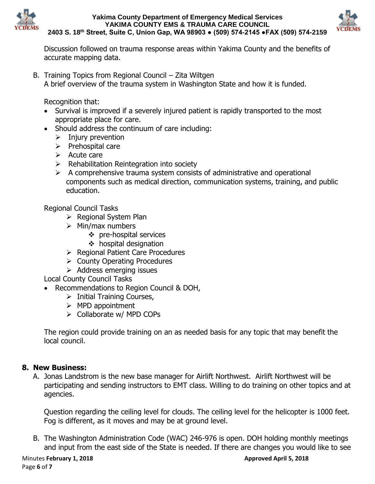



Discussion followed on trauma response areas within Yakima County and the benefits of accurate mapping data.

B. Training Topics from Regional Council – Zita Wiltgen A brief overview of the trauma system in Washington State and how it is funded.

Recognition that:

- Survival is improved if a severely injured patient is rapidly transported to the most appropriate place for care.
- Should address the continuum of care including:
	- $\triangleright$  Injury prevention
	- $\triangleright$  Prehospital care
	- $\triangleright$  Acute care
	- $\triangleright$  Rehabilitation Reintegration into society
	- $\triangleright$  A comprehensive trauma system consists of administrative and operational components such as medical direction, communication systems, training, and public education.

Regional Council Tasks

- $\triangleright$  Regional System Plan
- $\triangleright$  Min/max numbers
	- pre-hospital services
	- $\div$  hospital designation
- ▶ Regional Patient Care Procedures
- $\triangleright$  County Operating Procedures
- $\triangleright$  Address emerging issues

Local County Council Tasks

- Recommendations to Region Council & DOH,
	- $\triangleright$  Initial Training Courses,
	- $\triangleright$  MPD appointment
	- $\triangleright$  Collaborate w/ MPD COPs

The region could provide training on an as needed basis for any topic that may benefit the local council.

# **8. New Business:**

A. Jonas Landstrom is the new base manager for Airlift Northwest. Airlift Northwest will be participating and sending instructors to EMT class. Willing to do training on other topics and at agencies.

Question regarding the ceiling level for clouds. The ceiling level for the helicopter is 1000 feet. Fog is different, as it moves and may be at ground level.

B. The Washington Administration Code (WAC) 246-976 is open. DOH holding monthly meetings and input from the east side of the State is needed. If there are changes you would like to see